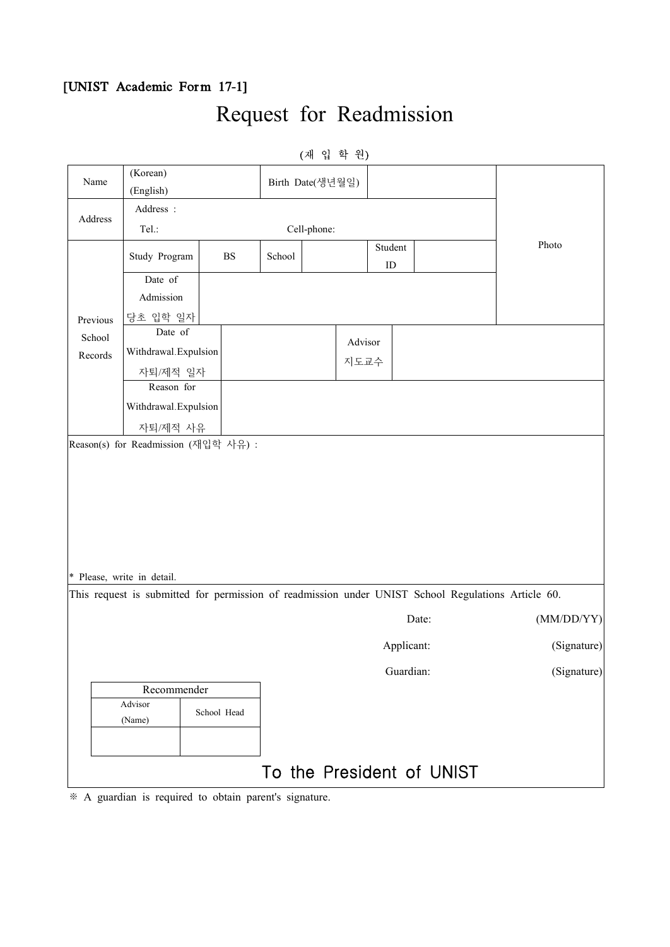### [UNIST Academic Form 17-1]

## Request for Readmission

| Name     |                            |             |        | (재 입 학 원)        |            |                                                                                                    |             |
|----------|----------------------------|-------------|--------|------------------|------------|----------------------------------------------------------------------------------------------------|-------------|
|          | (Korean)                   |             |        |                  |            |                                                                                                    |             |
|          | (English)                  |             |        | Birth Date(생년월일) |            |                                                                                                    |             |
|          | Address :                  |             |        |                  |            |                                                                                                    |             |
| Address  | Tel.:                      |             |        | Cell-phone:      |            |                                                                                                    |             |
|          |                            |             |        |                  | Student    |                                                                                                    | Photo       |
|          | Study Program              | $_{\rm BS}$ | School |                  | ${\rm ID}$ |                                                                                                    |             |
|          | Date of                    |             |        |                  |            |                                                                                                    |             |
|          | Admission                  |             |        |                  |            |                                                                                                    |             |
| Previous | 당초 입학 일자                   |             |        |                  |            |                                                                                                    |             |
| School   | Date of                    |             |        | Advisor          |            |                                                                                                    |             |
| Records  | Withdrawal.Expulsion       |             |        |                  |            |                                                                                                    |             |
|          | 자퇴/제적 일자                   |             |        | 지도교수             |            |                                                                                                    |             |
|          | Reason for                 |             |        |                  |            |                                                                                                    |             |
|          | Withdrawal.Expulsion       |             |        |                  |            |                                                                                                    |             |
|          | 자퇴/제적 사유                   |             |        |                  |            |                                                                                                    |             |
|          | * Please, write in detail. |             |        |                  |            |                                                                                                    |             |
|          |                            |             |        |                  |            | This request is submitted for permission of readmission under UNIST School Regulations Article 60. |             |
|          |                            |             |        |                  |            | Date:                                                                                              |             |
|          |                            |             |        |                  |            |                                                                                                    | (MM/DD/YY)  |
|          |                            |             |        |                  | Applicant: |                                                                                                    | (Signature) |
|          |                            |             |        |                  | Guardian:  |                                                                                                    | (Signature) |
|          | Recommender                |             |        |                  |            |                                                                                                    |             |
|          | Advisor                    | School Head |        |                  |            |                                                                                                    |             |
|          | (Name)                     |             |        |                  |            |                                                                                                    |             |
|          |                            |             |        |                  |            |                                                                                                    |             |

※ A guardian is required to obtain parent's signature.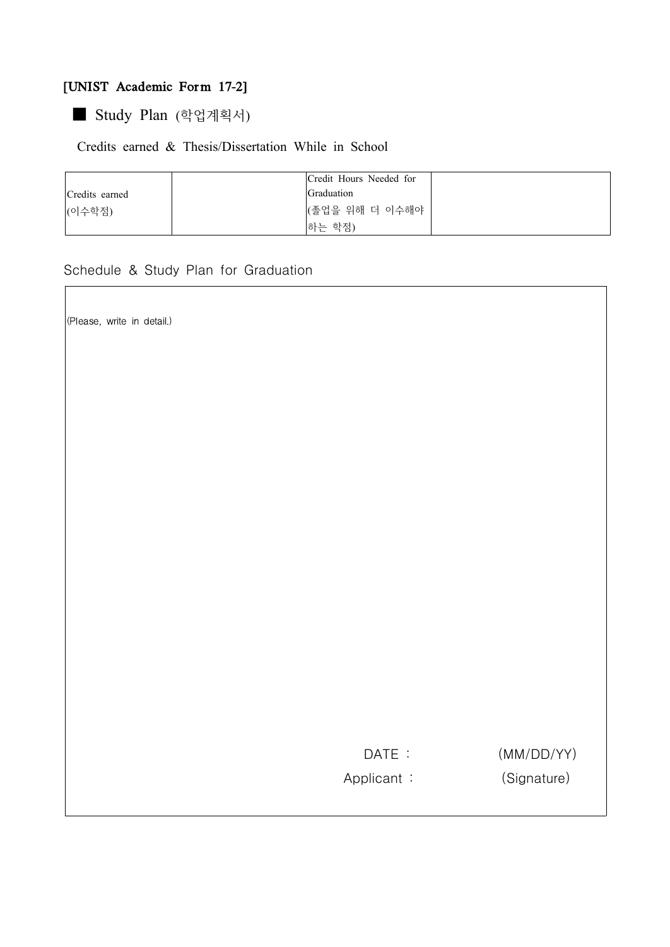#### [UNIST Academic Form 17-2]

■ Study Plan (학업계획서)

#### Credits earned & Thesis/Dissertation While in School

|                | Credit Hours Needed for |  |
|----------------|-------------------------|--|
| Credits earned | Graduation              |  |
| (이수학점)         | (졸업을 위해 더 이수해야          |  |
|                | 하는 학점)                  |  |

Schedule & Study Plan for Graduation

(Please, write in detail.)

Applicant : (Signature)

DATE :  $(MM/DD/YY)$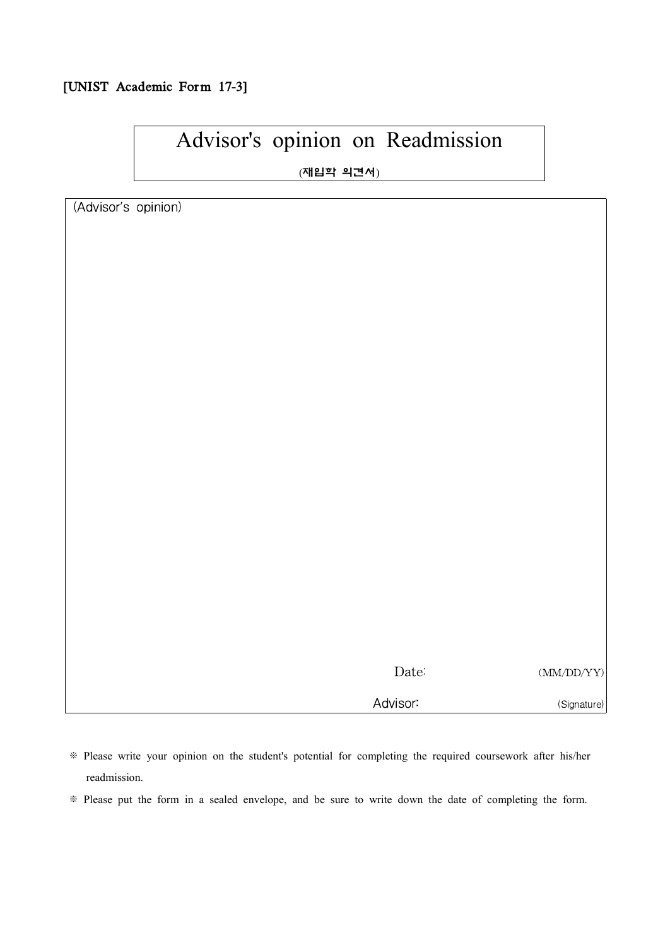#### [UNIST Academic Form 17-3]

# Advisor's opinion on Readmission

(재입학 의견서)

(Advisor's opinion)

| Date:    | (MM/DD/YY)  |
|----------|-------------|
| Advisor: | (Signature) |

※ Please write your opinion on the student's potential for completing the required coursework after his/her readmission.

※ Please put the form in a sealed envelope, and be sure to write down the date of completing the form.